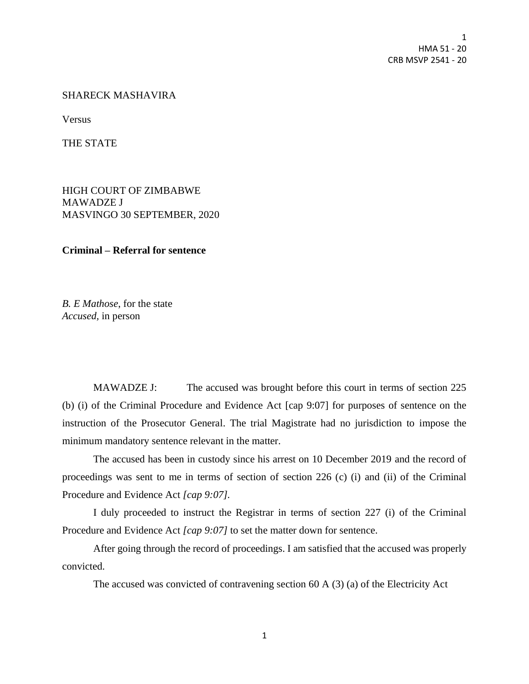1 HMA 51 - 20 CRB MSVP 2541 - 20

## SHARECK MASHAVIRA

Versus

THE STATE

HIGH COURT OF ZIMBABWE MAWADZE J MASVINGO 30 SEPTEMBER, 2020

**Criminal – Referral for sentence**

*B. E Mathose*, for the state *Accused,* in person

MAWADZE J: The accused was brought before this court in terms of section 225 (b) (i) of the Criminal Procedure and Evidence Act [cap 9:07] for purposes of sentence on the instruction of the Prosecutor General. The trial Magistrate had no jurisdiction to impose the minimum mandatory sentence relevant in the matter.

The accused has been in custody since his arrest on 10 December 2019 and the record of proceedings was sent to me in terms of section of section 226 (c) (i) and (ii) of the Criminal Procedure and Evidence Act *[cap 9:07].*

I duly proceeded to instruct the Registrar in terms of section 227 (i) of the Criminal Procedure and Evidence Act *[cap 9:07]* to set the matter down for sentence.

After going through the record of proceedings. I am satisfied that the accused was properly convicted.

The accused was convicted of contravening section 60 A (3) (a) of the Electricity Act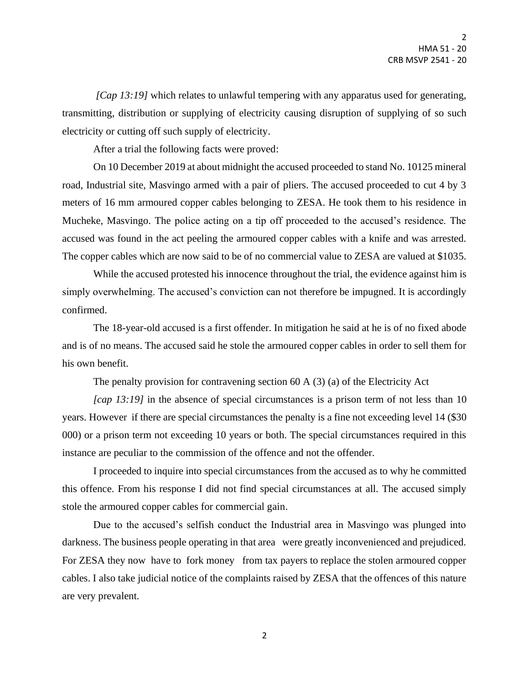*[Cap 13:19]* which relates to unlawful tempering with any apparatus used for generating, transmitting, distribution or supplying of electricity causing disruption of supplying of so such electricity or cutting off such supply of electricity.

After a trial the following facts were proved:

On 10 December 2019 at about midnight the accused proceeded to stand No. 10125 mineral road, Industrial site, Masvingo armed with a pair of pliers. The accused proceeded to cut 4 by 3 meters of 16 mm armoured copper cables belonging to ZESA. He took them to his residence in Mucheke, Masvingo. The police acting on a tip off proceeded to the accused's residence. The accused was found in the act peeling the armoured copper cables with a knife and was arrested. The copper cables which are now said to be of no commercial value to ZESA are valued at \$1035.

While the accused protested his innocence throughout the trial, the evidence against him is simply overwhelming. The accused's conviction can not therefore be impugned. It is accordingly confirmed.

The 18-year-old accused is a first offender. In mitigation he said at he is of no fixed abode and is of no means. The accused said he stole the armoured copper cables in order to sell them for his own benefit.

The penalty provision for contravening section 60 A (3) (a) of the Electricity Act

*[cap 13:19]* in the absence of special circumstances is a prison term of not less than 10 years. However if there are special circumstances the penalty is a fine not exceeding level 14 (\$30 000) or a prison term not exceeding 10 years or both. The special circumstances required in this instance are peculiar to the commission of the offence and not the offender.

I proceeded to inquire into special circumstances from the accused as to why he committed this offence. From his response I did not find special circumstances at all. The accused simply stole the armoured copper cables for commercial gain.

Due to the accused's selfish conduct the Industrial area in Masvingo was plunged into darkness. The business people operating in that area were greatly inconvenienced and prejudiced. For ZESA they now have to fork money from tax payers to replace the stolen armoured copper cables. I also take judicial notice of the complaints raised by ZESA that the offences of this nature are very prevalent.